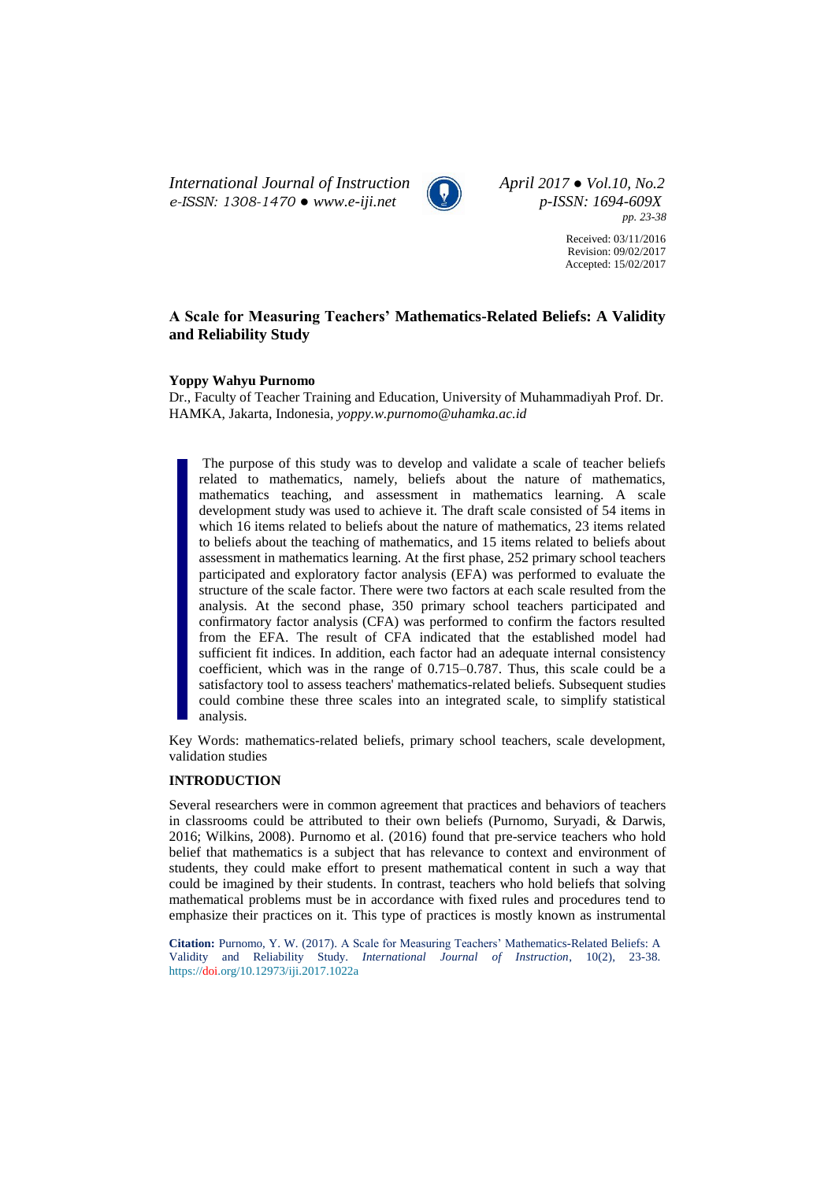*International Journal of Instruction April 2017 ● Vol.10, No.2 e-ISSN: 1308-1470 ● www.e-iji.net p-ISSN: 1694-609X*



*pp. 23-38*

Received: 03/11/2016 Revision: 09/02/2017 Accepted: 15/02/2017

# **A Scale for Measuring Teachers' Mathematics-Related Beliefs: A Validity and Reliability Study**

### **Yoppy Wahyu Purnomo**

Dr., Faculty of Teacher Training and Education, University of Muhammadiyah Prof. Dr. HAMKA, Jakarta, Indonesia, *yoppy.w.purnomo@uhamka.ac.id*

The purpose of this study was to develop and validate a scale of teacher beliefs related to mathematics, namely, beliefs about the nature of mathematics, mathematics teaching, and assessment in mathematics learning. A scale development study was used to achieve it. The draft scale consisted of 54 items in which 16 items related to beliefs about the nature of mathematics, 23 items related to beliefs about the teaching of mathematics, and 15 items related to beliefs about assessment in mathematics learning. At the first phase, 252 primary school teachers participated and exploratory factor analysis (EFA) was performed to evaluate the structure of the scale factor. There were two factors at each scale resulted from the analysis. At the second phase, 350 primary school teachers participated and confirmatory factor analysis (CFA) was performed to confirm the factors resulted from the EFA. The result of CFA indicated that the established model had sufficient fit indices. In addition, each factor had an adequate internal consistency coefficient, which was in the range of 0.715–0.787. Thus, this scale could be a satisfactory tool to assess teachers' mathematics-related beliefs. Subsequent studies could combine these three scales into an integrated scale, to simplify statistical analysis.

Key Words: mathematics-related beliefs, primary school teachers, scale development, validation studies

## **INTRODUCTION**

Several researchers were in common agreement that practices and behaviors of teachers in classrooms could be attributed to their own beliefs (Purnomo, Suryadi, & Darwis, 2016; Wilkins, 2008). Purnomo et al. (2016) found that pre-service teachers who hold belief that mathematics is a subject that has relevance to context and environment of students, they could make effort to present mathematical content in such a way that could be imagined by their students. In contrast, teachers who hold beliefs that solving mathematical problems must be in accordance with fixed rules and procedures tend to emphasize their practices on it. This type of practices is mostly known as instrumental

**Citation:** Purnomo, Y. W. (2017). A Scale for Measuring Teachers' Mathematics-Related Beliefs: A Validity and Reliability Study. *International Journal of Instruction*, 10(2), 23-38. https://doi.org/10.12973/iji.2017.1022a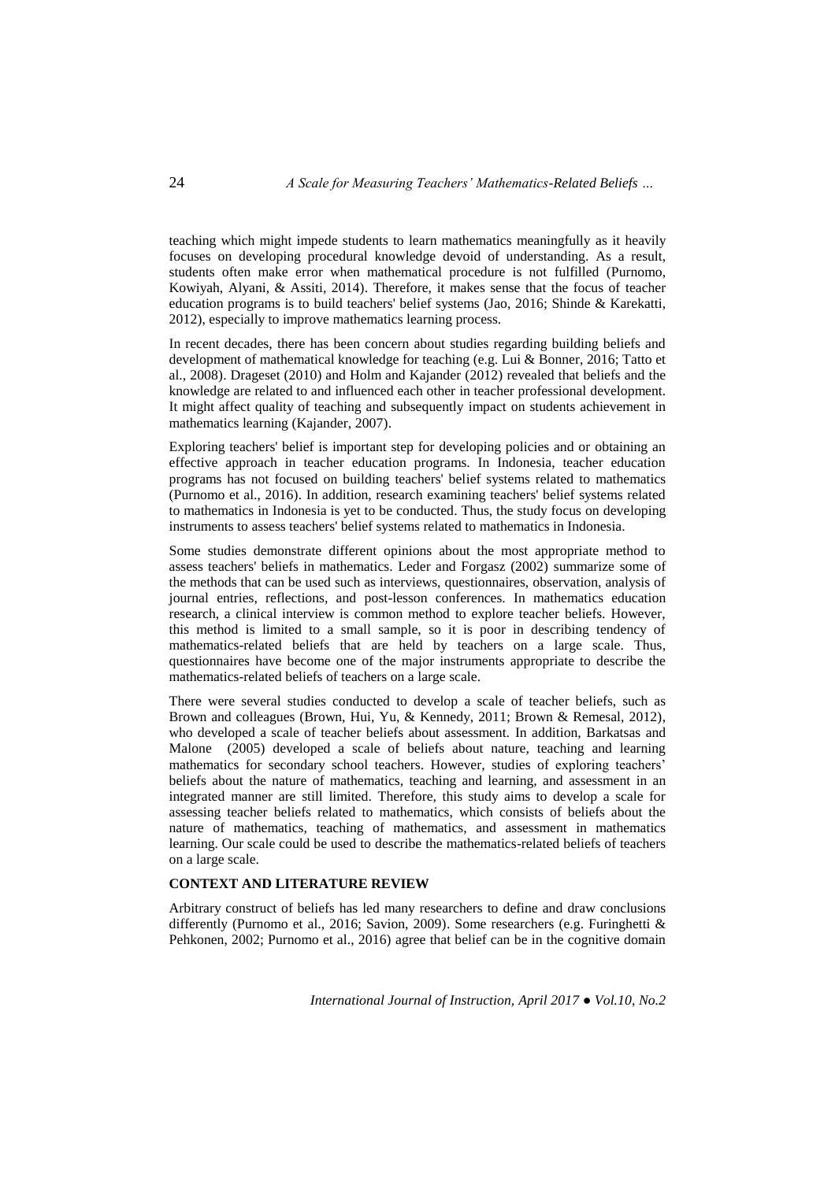teaching which might impede students to learn mathematics meaningfully as it heavily focuses on developing procedural knowledge devoid of understanding. As a result, students often make error when mathematical procedure is not fulfilled (Purnomo, Kowiyah, Alyani, & Assiti, 2014). Therefore, it makes sense that the focus of teacher education programs is to build teachers' belief systems (Jao, 2016; Shinde & Karekatti, 2012), especially to improve mathematics learning process.

In recent decades, there has been concern about studies regarding building beliefs and development of mathematical knowledge for teaching (e.g. Lui & Bonner, 2016; Tatto et al., 2008). Drageset (2010) and Holm and Kajander (2012) revealed that beliefs and the knowledge are related to and influenced each other in teacher professional development. It might affect quality of teaching and subsequently impact on students achievement in mathematics learning (Kajander, 2007).

Exploring teachers' belief is important step for developing policies and or obtaining an effective approach in teacher education programs. In Indonesia, teacher education programs has not focused on building teachers' belief systems related to mathematics (Purnomo et al., 2016). In addition, research examining teachers' belief systems related to mathematics in Indonesia is yet to be conducted. Thus, the study focus on developing instruments to assess teachers' belief systems related to mathematics in Indonesia.

Some studies demonstrate different opinions about the most appropriate method to assess teachers' beliefs in mathematics. Leder and Forgasz (2002) summarize some of the methods that can be used such as interviews, questionnaires, observation, analysis of journal entries, reflections, and post-lesson conferences. In mathematics education research, a clinical interview is common method to explore teacher beliefs. However, this method is limited to a small sample, so it is poor in describing tendency of mathematics-related beliefs that are held by teachers on a large scale. Thus, questionnaires have become one of the major instruments appropriate to describe the mathematics-related beliefs of teachers on a large scale.

There were several studies conducted to develop a scale of teacher beliefs, such as Brown and colleagues (Brown, Hui, Yu, & Kennedy, 2011; Brown & Remesal, 2012), who developed a scale of teacher beliefs about assessment. In addition, Barkatsas and Malone (2005) developed a scale of beliefs about nature, teaching and learning mathematics for secondary school teachers. However, studies of exploring teachers' beliefs about the nature of mathematics, teaching and learning, and assessment in an integrated manner are still limited. Therefore, this study aims to develop a scale for assessing teacher beliefs related to mathematics, which consists of beliefs about the nature of mathematics, teaching of mathematics, and assessment in mathematics learning. Our scale could be used to describe the mathematics-related beliefs of teachers on a large scale.

## **CONTEXT AND LITERATURE REVIEW**

Arbitrary construct of beliefs has led many researchers to define and draw conclusions differently (Purnomo et al., 2016; Savion, 2009). Some researchers (e.g. Furinghetti & Pehkonen, 2002; Purnomo et al., 2016) agree that belief can be in the cognitive domain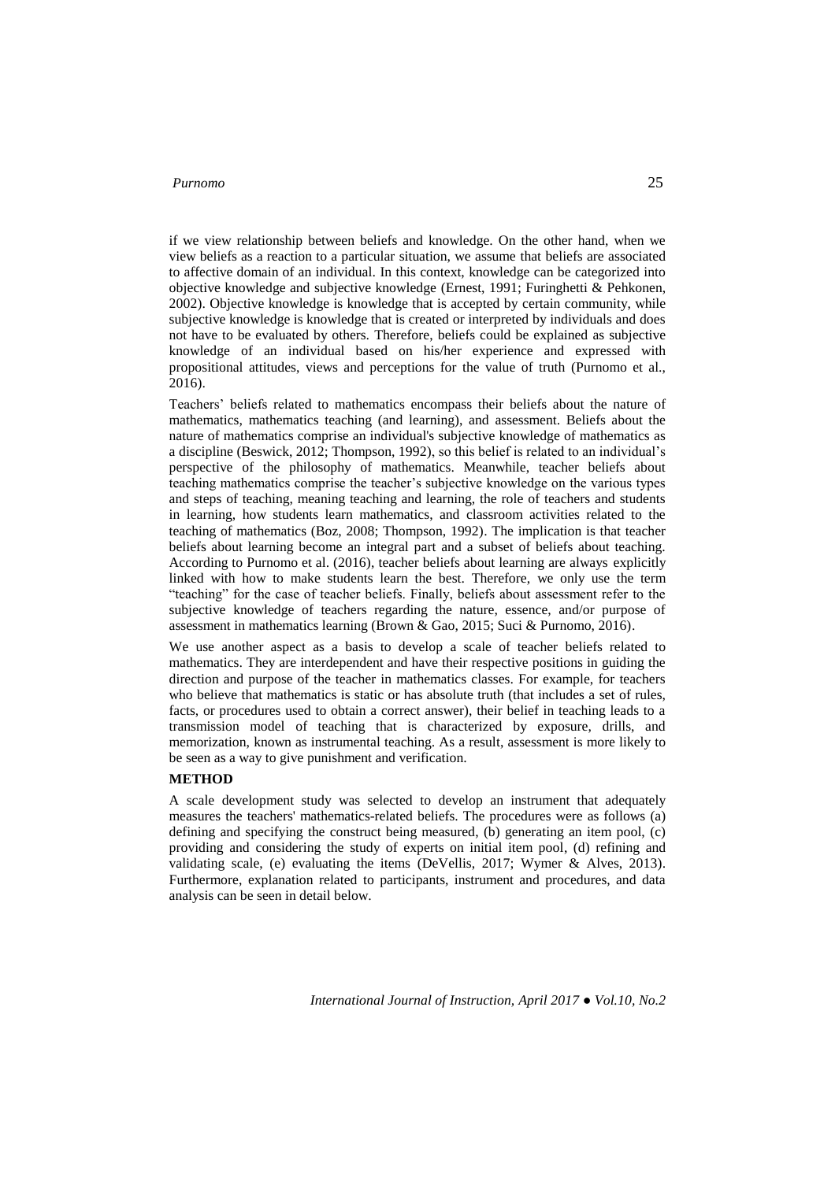if we view relationship between beliefs and knowledge. On the other hand, when we view beliefs as a reaction to a particular situation, we assume that beliefs are associated to affective domain of an individual. In this context, knowledge can be categorized into objective knowledge and subjective knowledge (Ernest, 1991; Furinghetti & Pehkonen, 2002). Objective knowledge is knowledge that is accepted by certain community, while subjective knowledge is knowledge that is created or interpreted by individuals and does not have to be evaluated by others. Therefore, beliefs could be explained as subjective knowledge of an individual based on his/her experience and expressed with propositional attitudes, views and perceptions for the value of truth (Purnomo et al., 2016).

Teachers' beliefs related to mathematics encompass their beliefs about the nature of mathematics, mathematics teaching (and learning), and assessment. Beliefs about the nature of mathematics comprise an individual's subjective knowledge of mathematics as a discipline (Beswick, 2012; Thompson, 1992), so this belief is related to an individual's perspective of the philosophy of mathematics. Meanwhile, teacher beliefs about teaching mathematics comprise the teacher's subjective knowledge on the various types and steps of teaching, meaning teaching and learning, the role of teachers and students in learning, how students learn mathematics, and classroom activities related to the teaching of mathematics (Boz, 2008; Thompson, 1992). The implication is that teacher beliefs about learning become an integral part and a subset of beliefs about teaching. According to Purnomo et al. (2016), teacher beliefs about learning are always explicitly linked with how to make students learn the best. Therefore, we only use the term "teaching" for the case of teacher beliefs. Finally, beliefs about assessment refer to the subjective knowledge of teachers regarding the nature, essence, and/or purpose of assessment in mathematics learning (Brown & Gao, 2015; Suci & Purnomo, 2016).

We use another aspect as a basis to develop a scale of teacher beliefs related to mathematics. They are interdependent and have their respective positions in guiding the direction and purpose of the teacher in mathematics classes. For example, for teachers who believe that mathematics is static or has absolute truth (that includes a set of rules, facts, or procedures used to obtain a correct answer), their belief in teaching leads to a transmission model of teaching that is characterized by exposure, drills, and memorization, known as instrumental teaching. As a result, assessment is more likely to be seen as a way to give punishment and verification.

#### **METHOD**

A scale development study was selected to develop an instrument that adequately measures the teachers' mathematics-related beliefs. The procedures were as follows (a) defining and specifying the construct being measured, (b) generating an item pool, (c) providing and considering the study of experts on initial item pool, (d) refining and validating scale, (e) evaluating the items (DeVellis, 2017; Wymer & Alves, 2013). Furthermore, explanation related to participants, instrument and procedures, and data analysis can be seen in detail below.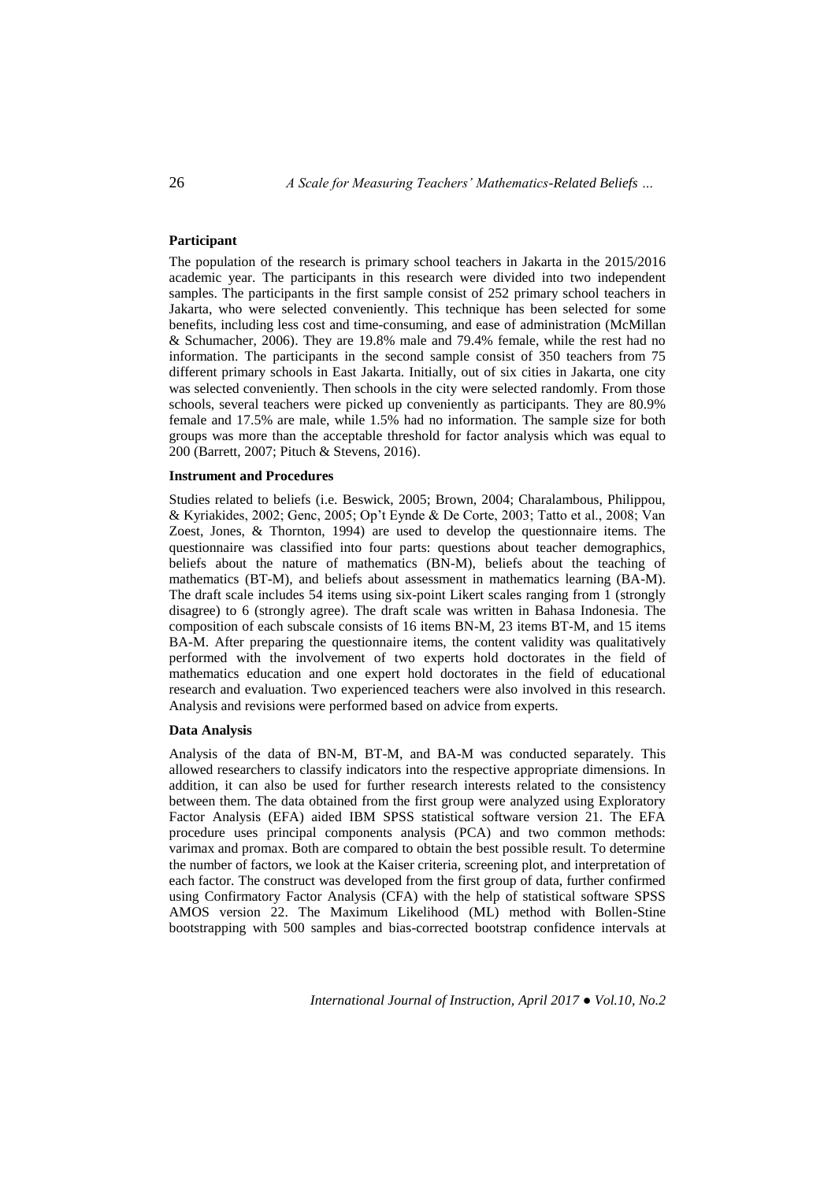26 *A Scale for Measuring Teachers' Mathematics-Related Beliefs …*

## **Participant**

The population of the research is primary school teachers in Jakarta in the 2015/2016 academic year. The participants in this research were divided into two independent samples. The participants in the first sample consist of 252 primary school teachers in Jakarta, who were selected conveniently. This technique has been selected for some benefits, including less cost and time-consuming, and ease of administration (McMillan & Schumacher, 2006). They are 19.8% male and 79.4% female, while the rest had no information. The participants in the second sample consist of 350 teachers from 75 different primary schools in East Jakarta. Initially, out of six cities in Jakarta, one city was selected conveniently. Then schools in the city were selected randomly. From those schools, several teachers were picked up conveniently as participants. They are 80.9% female and 17.5% are male, while 1.5% had no information. The sample size for both groups was more than the acceptable threshold for factor analysis which was equal to 200 (Barrett, 2007; Pituch & Stevens, 2016).

#### **Instrument and Procedures**

Studies related to beliefs (i.e. Beswick, 2005; Brown, 2004; Charalambous, Philippou, & Kyriakides, 2002; Genc, 2005; Op't Eynde & De Corte, 2003; Tatto et al., 2008; Van Zoest, Jones, & Thornton, 1994) are used to develop the questionnaire items. The questionnaire was classified into four parts: questions about teacher demographics, beliefs about the nature of mathematics (BN-M), beliefs about the teaching of mathematics (BT-M), and beliefs about assessment in mathematics learning (BA-M). The draft scale includes 54 items using six-point Likert scales ranging from 1 (strongly disagree) to 6 (strongly agree). The draft scale was written in Bahasa Indonesia. The composition of each subscale consists of 16 items BN-M, 23 items BT-M, and 15 items BA-M. After preparing the questionnaire items, the content validity was qualitatively performed with the involvement of two experts hold doctorates in the field of mathematics education and one expert hold doctorates in the field of educational research and evaluation. Two experienced teachers were also involved in this research. Analysis and revisions were performed based on advice from experts.

#### **Data Analysis**

Analysis of the data of BN-M, BT-M, and BA-M was conducted separately. This allowed researchers to classify indicators into the respective appropriate dimensions. In addition, it can also be used for further research interests related to the consistency between them. The data obtained from the first group were analyzed using Exploratory Factor Analysis (EFA) aided IBM SPSS statistical software version 21. The EFA procedure uses principal components analysis (PCA) and two common methods: varimax and promax. Both are compared to obtain the best possible result. To determine the number of factors, we look at the Kaiser criteria, screening plot, and interpretation of each factor. The construct was developed from the first group of data, further confirmed using Confirmatory Factor Analysis (CFA) with the help of statistical software SPSS AMOS version 22. The Maximum Likelihood (ML) method with Bollen-Stine bootstrapping with 500 samples and bias-corrected bootstrap confidence intervals at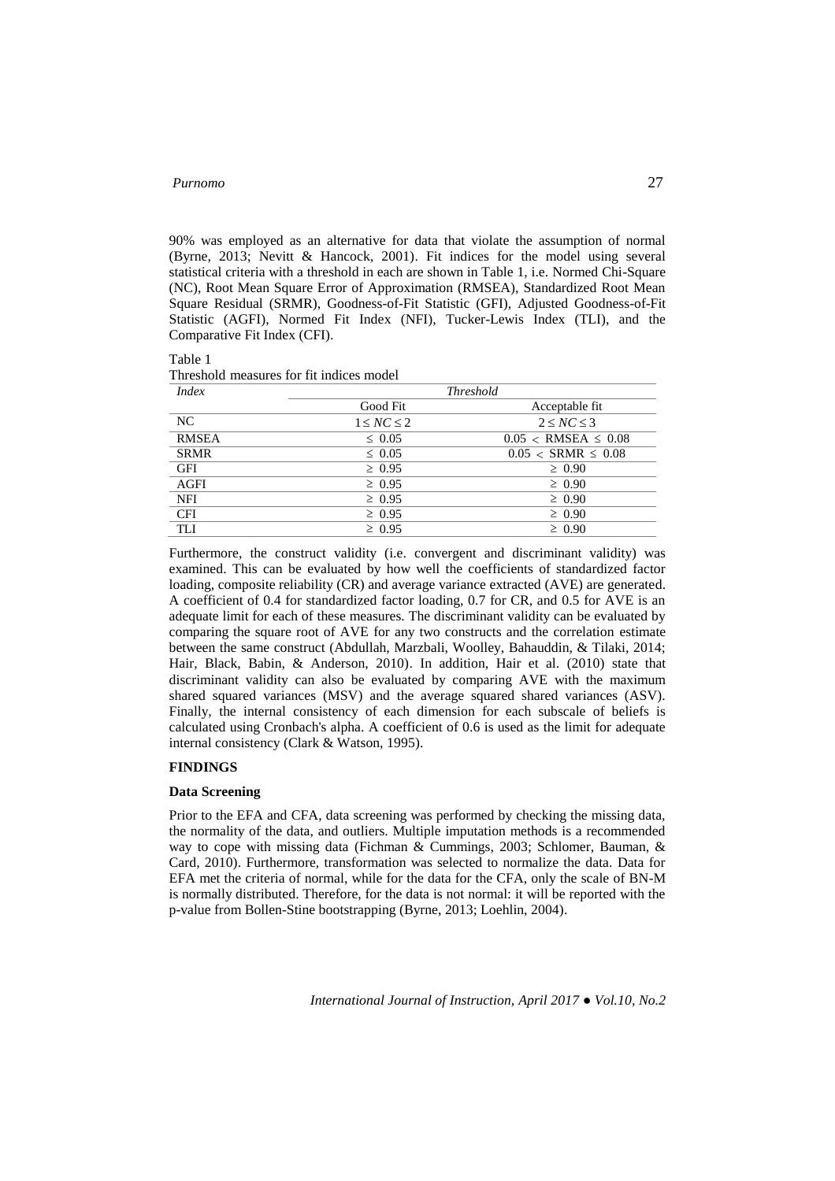90% was employed as an alternative for data that violate the assumption of normal (Byrne, 2013; Nevitt & Hancock, 2001). Fit indices for the model using several statistical criteria with a threshold in each are shown in Table 1, i.e. Normed Chi-Square (NC), Root Mean Square Error of Approximation (RMSEA), Standardized Root Mean Square Residual (SRMR), Goodness-of-Fit Statistic (GFI), Adjusted Goodness-of-Fit Statistic (AGFI), Normed Fit Index (NFI), Tucker-Lewis Index (TLI), and the Comparative Fit Index (CFI).

## Table 1

Threshold measures for fit indices model

| <i>Index</i> | <b>Threshold</b>   |                            |  |  |
|--------------|--------------------|----------------------------|--|--|
|              | Good Fit           | Acceptable fit             |  |  |
| NC.          | $1 \leq NC \leq 2$ | $2 \leq NC \leq 3$         |  |  |
| <b>RMSEA</b> | $\leq 0.05$        | $0.05 <$ RMSEA $\leq 0.08$ |  |  |
| <b>SRMR</b>  | $\leq 0.05$        | $0.05 <$ SRMR $\leq 0.08$  |  |  |
| <b>GFI</b>   | $\geq 0.95$        | $\geq 0.90$                |  |  |
| <b>AGFI</b>  | $\geq 0.95$        | $\geq 0.90$                |  |  |
| <b>NFI</b>   | $\geq 0.95$        | $\geq 0.90$                |  |  |
| <b>CFI</b>   | $\geq 0.95$        | $\geq 0.90$                |  |  |
| TLI          | $\geq 0.95$        | $\geq 0.90$                |  |  |

Furthermore, the construct validity (i.e. convergent and discriminant validity) was examined. This can be evaluated by how well the coefficients of standardized factor loading, composite reliability (CR) and average variance extracted (AVE) are generated. A coefficient of 0.4 for standardized factor loading, 0.7 for CR, and 0.5 for AVE is an adequate limit for each of these measures. The discriminant validity can be evaluated by comparing the square root of AVE for any two constructs and the correlation estimate between the same construct (Abdullah, Marzbali, Woolley, Bahauddin, & Tilaki, 2014; Hair, Black, Babin, & Anderson, 2010). In addition, Hair et al. (2010) state that discriminant validity can also be evaluated by comparing AVE with the maximum shared squared variances (MSV) and the average squared shared variances (ASV). Finally, the internal consistency of each dimension for each subscale of beliefs is calculated using Cronbach's alpha. A coefficient of 0.6 is used as the limit for adequate internal consistency (Clark & Watson, 1995).

### **FINDINGS**

#### **Data Screening**

Prior to the EFA and CFA, data screening was performed by checking the missing data, the normality of the data, and outliers. Multiple imputation methods is a recommended way to cope with missing data (Fichman & Cummings, 2003; Schlomer, Bauman, & Card, 2010). Furthermore, transformation was selected to normalize the data. Data for EFA met the criteria of normal, while for the data for the CFA, only the scale of BN-M is normally distributed. Therefore, for the data is not normal: it will be reported with the p-value from Bollen-Stine bootstrapping (Byrne, 2013; Loehlin, 2004).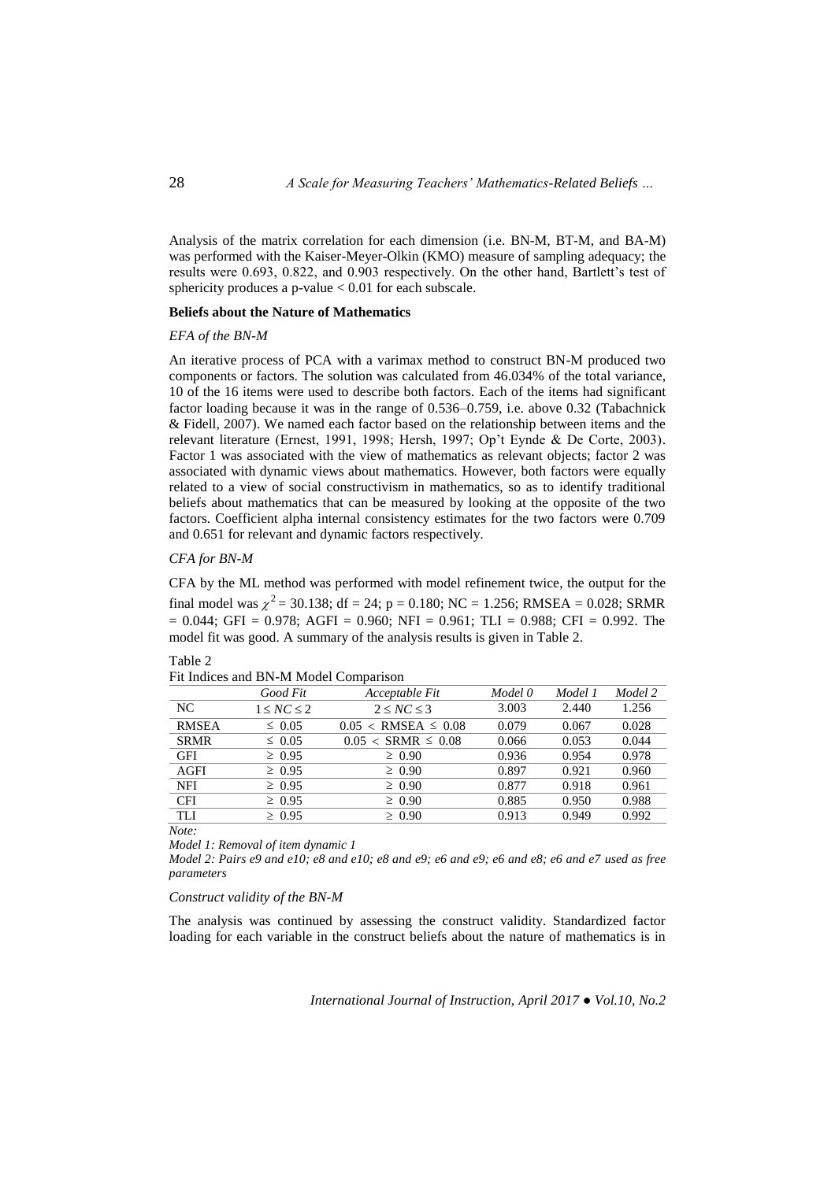Analysis of the matrix correlation for each dimension (i.e. BN-M, BT-M, and BA-M) was performed with the Kaiser-Meyer-Olkin (KMO) measure of sampling adequacy; the results were 0.693, 0.822, and 0.903 respectively. On the other hand, Bartlett's test of sphericity produces a p-value  $< 0.01$  for each subscale.

#### **Beliefs about the Nature of Mathematics**

#### *EFA of the BN-M*

An iterative process of PCA with a varimax method to construct BN-M produced two components or factors. The solution was calculated from 46.034% of the total variance, 10 of the 16 items were used to describe both factors. Each of the items had significant factor loading because it was in the range of 0.536–0.759, i.e. above 0.32 (Tabachnick & Fidell, 2007). We named each factor based on the relationship between items and the relevant literature (Ernest, 1991, 1998; Hersh, 1997; Op't Eynde & De Corte, 2003). Factor 1 was associated with the view of mathematics as relevant objects; factor 2 was associated with dynamic views about mathematics. However, both factors were equally related to a view of social constructivism in mathematics, so as to identify traditional beliefs about mathematics that can be measured by looking at the opposite of the two factors. Coefficient alpha internal consistency estimates for the two factors were 0.709 and 0.651 for relevant and dynamic factors respectively.

## *CFA for BN-M*

CFA by the ML method was performed with model refinement twice, the output for the final model was  $\chi^2$  = 30.138; df = 24; p = 0.180; NC = 1.256; RMSEA = 0.028; SRMR  $= 0.044$ ; GFI = 0.978; AGFI = 0.960; NFI = 0.961; TLI = 0.988; CFI = 0.992. The model fit was good. A summary of the analysis results is given in Table 2.

#### Table 2

| Fit Indices and BN-M Model Comparison |  |  |  |
|---------------------------------------|--|--|--|
|---------------------------------------|--|--|--|

|              | Good Fit           | Acceptable Fit             | Model 0 | Model 1 | Model 2 |
|--------------|--------------------|----------------------------|---------|---------|---------|
| NC.          | $1 \leq NC \leq 2$ | $2 \leq NC \leq 3$         | 3.003   | 2.440   | 1.256   |
| <b>RMSEA</b> | $\leq 0.05$        | $0.05 <$ RMSEA $\leq 0.08$ | 0.079   | 0.067   | 0.028   |
| <b>SRMR</b>  | $\leq 0.05$        | $0.05 <$ SRMR $\leq 0.08$  | 0.066   | 0.053   | 0.044   |
| GFI          | $\geq 0.95$        | $\geq 0.90$                | 0.936   | 0.954   | 0.978   |
| AGFI         | $\geq 0.95$        | $\geq 0.90$                | 0.897   | 0.921   | 0.960   |
| NFI          | $\geq 0.95$        | $\geq 0.90$                | 0.877   | 0.918   | 0.961   |
| <b>CFI</b>   | $\geq 0.95$        | $\geq 0.90$                | 0.885   | 0.950   | 0.988   |
| TLI          | $\geq 0.95$        | $\geq 0.90$                | 0.913   | 0.949   | 0.992   |
|              |                    |                            |         |         |         |

*Note:*

*Model 1: Removal of item dynamic 1*

*Model 2: Pairs e9 and e10; e8 and e10; e8 and e9; e6 and e9; e6 and e8; e6 and e7 used as free parameters*

#### *Construct validity of the BN-M*

The analysis was continued by assessing the construct validity. Standardized factor loading for each variable in the construct beliefs about the nature of mathematics is in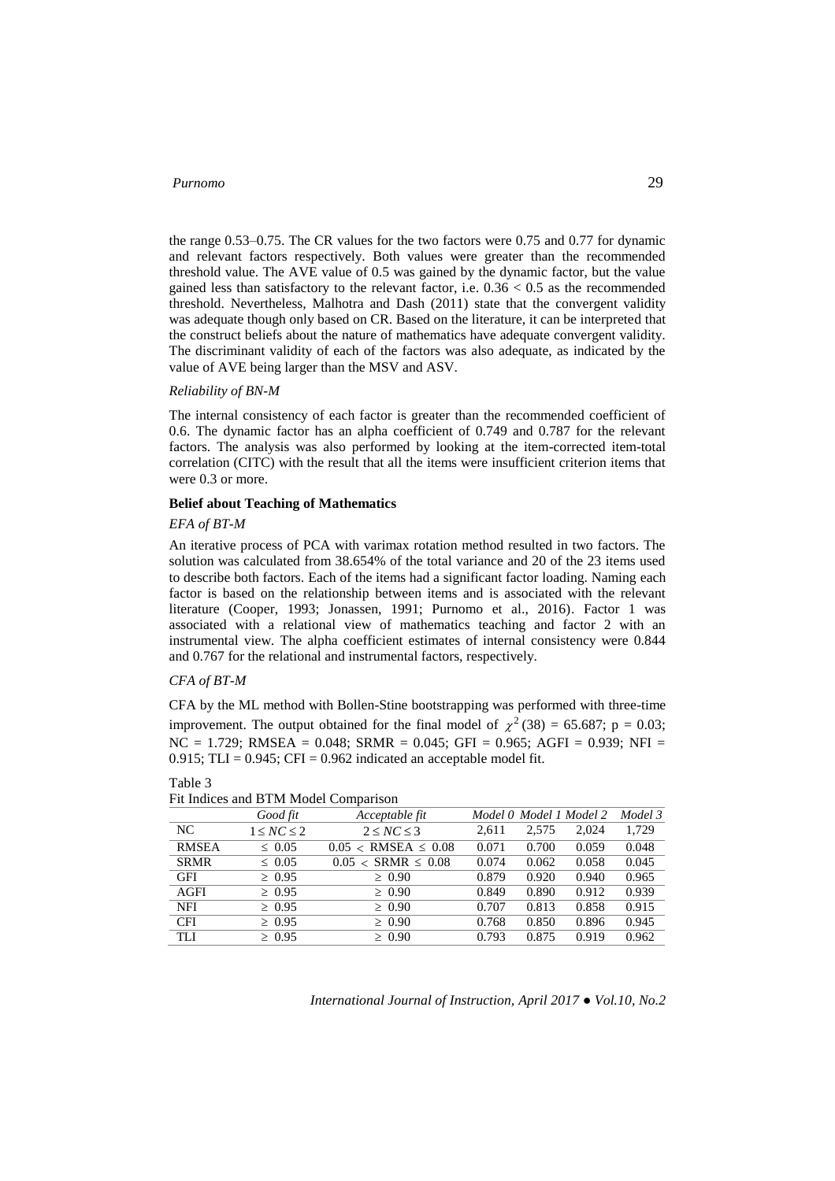the range 0.53–0.75. The CR values for the two factors were 0.75 and 0.77 for dynamic and relevant factors respectively. Both values were greater than the recommended threshold value. The AVE value of 0.5 was gained by the dynamic factor, but the value gained less than satisfactory to the relevant factor, i.e.  $0.36 < 0.5$  as the recommended threshold. Nevertheless, Malhotra and Dash (2011) state that the convergent validity was adequate though only based on CR. Based on the literature, it can be interpreted that the construct beliefs about the nature of mathematics have adequate convergent validity. The discriminant validity of each of the factors was also adequate, as indicated by the value of AVE being larger than the MSV and ASV.

### *Reliability of BN-M*

The internal consistency of each factor is greater than the recommended coefficient of 0.6. The dynamic factor has an alpha coefficient of 0.749 and 0.787 for the relevant factors. The analysis was also performed by looking at the item-corrected item-total correlation (CITC) with the result that all the items were insufficient criterion items that were 0.3 or more.

#### **Belief about Teaching of Mathematics**

#### *EFA of BT-M*

An iterative process of PCA with varimax rotation method resulted in two factors. The solution was calculated from 38.654% of the total variance and 20 of the 23 items used to describe both factors. Each of the items had a significant factor loading. Naming each factor is based on the relationship between items and is associated with the relevant literature (Cooper, 1993; Jonassen, 1991; Purnomo et al., 2016). Factor 1 was associated with a relational view of mathematics teaching and factor 2 with an instrumental view. The alpha coefficient estimates of internal consistency were 0.844 and 0.767 for the relational and instrumental factors, respectively.

### *CFA of BT-M*

Table 3

CFA by the ML method with Bollen-Stine bootstrapping was performed with three-time improvement. The output obtained for the final model of  $\chi^2$  (38) = 65.687; p = 0.03;  $NC = 1.729$ ; RMSEA = 0.048; SRMR = 0.045; GFI = 0.965; AGFI = 0.939; NFI = 0.915; TLI =  $0.945$ ; CFI =  $0.962$  indicated an acceptable model fit.

| FIL HIGICES AND DIM MODEL COMPANISON |                    |                            |       |                         |       |         |
|--------------------------------------|--------------------|----------------------------|-------|-------------------------|-------|---------|
|                                      | Good fit           | Acceptable fit             |       | Model 0 Model 1 Model 2 |       | Model 3 |
| NC.                                  | $1 \leq NC \leq 2$ | $2 \leq NC \leq 3$         | 2.611 | 2.575                   | 2.024 | 1.729   |
| <b>RMSEA</b>                         | $\leq 0.05$        | $0.05 <$ RMSEA $\leq 0.08$ | 0.071 | 0.700                   | 0.059 | 0.048   |
| <b>SRMR</b>                          | $\leq 0.05$        | $0.05 <$ SRMR $\leq 0.08$  | 0.074 | 0.062                   | 0.058 | 0.045   |
| GFI                                  | $\geq 0.95$        | $\geq 0.90$                | 0.879 | 0.920                   | 0.940 | 0.965   |
| AGFI                                 | $\geq 0.95$        | $\geq 0.90$                | 0.849 | 0.890                   | 0.912 | 0.939   |
| <b>NFI</b>                           | $\geq 0.95$        | $\geq 0.90$                | 0.707 | 0.813                   | 0.858 | 0.915   |
| <b>CFI</b>                           | $\geq 0.95$        | $\geq 0.90$                | 0.768 | 0.850                   | 0.896 | 0.945   |
| TLI                                  | $\geq 0.95$        | $\geq 0.90$                | 0.793 | 0.875                   | 0.919 | 0.962   |
|                                      |                    |                            |       |                         |       |         |

Fit Indices and BTM Model Comparison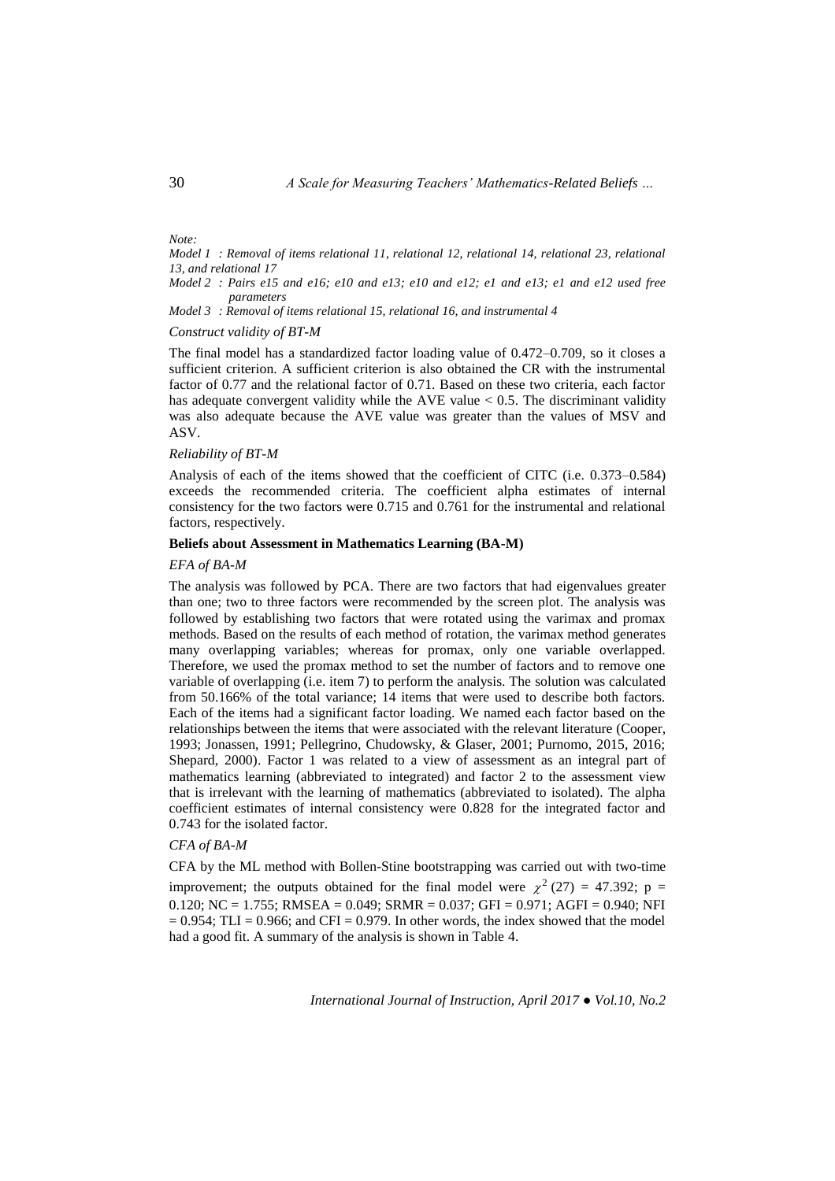## *Note:*

*Model 1 : Removal of items relational 11, relational 12, relational 14, relational 23, relational 13, and relational 17*

*Model 2 : Pairs e15 and e16; e10 and e13; e10 and e12; e1 and e13; e1 and e12 used free parameters* 

*Model 3 : Removal of items relational 15, relational 16, and instrumental 4*

## *Construct validity of BT-M*

The final model has a standardized factor loading value of 0.472–0.709, so it closes a sufficient criterion. A sufficient criterion is also obtained the CR with the instrumental factor of 0.77 and the relational factor of 0.71. Based on these two criteria, each factor has adequate convergent validity while the AVE value < 0.5. The discriminant validity was also adequate because the AVE value was greater than the values of MSV and ASV.

### *Reliability of BT-M*

Analysis of each of the items showed that the coefficient of CITC (i.e. 0.373–0.584) exceeds the recommended criteria. The coefficient alpha estimates of internal consistency for the two factors were 0.715 and 0.761 for the instrumental and relational factors, respectively.

## **Beliefs about Assessment in Mathematics Learning (BA-M)**

### *EFA of BA-M*

The analysis was followed by PCA. There are two factors that had eigenvalues greater than one; two to three factors were recommended by the screen plot. The analysis was followed by establishing two factors that were rotated using the varimax and promax methods. Based on the results of each method of rotation, the varimax method generates many overlapping variables; whereas for promax, only one variable overlapped. Therefore, we used the promax method to set the number of factors and to remove one variable of overlapping (i.e. item 7) to perform the analysis. The solution was calculated from 50.166% of the total variance; 14 items that were used to describe both factors. Each of the items had a significant factor loading. We named each factor based on the relationships between the items that were associated with the relevant literature (Cooper, 1993; Jonassen, 1991; Pellegrino, Chudowsky, & Glaser, 2001; Purnomo, 2015, 2016; Shepard, 2000). Factor 1 was related to a view of assessment as an integral part of mathematics learning (abbreviated to integrated) and factor 2 to the assessment view that is irrelevant with the learning of mathematics (abbreviated to isolated). The alpha coefficient estimates of internal consistency were 0.828 for the integrated factor and 0.743 for the isolated factor.

#### *CFA of BA-M*

CFA by the ML method with Bollen-Stine bootstrapping was carried out with two-time

improvement; the outputs obtained for the final model were  $\chi^2$  (27) = 47.392; p = 0.120; NC = 1.755; RMSEA = 0.049; SRMR = 0.037; GFI = 0.971; AGFI = 0.940; NFI  $= 0.954$ ; TLI  $= 0.966$ ; and CFI  $= 0.979$ . In other words, the index showed that the model had a good fit. A summary of the analysis is shown in Table 4.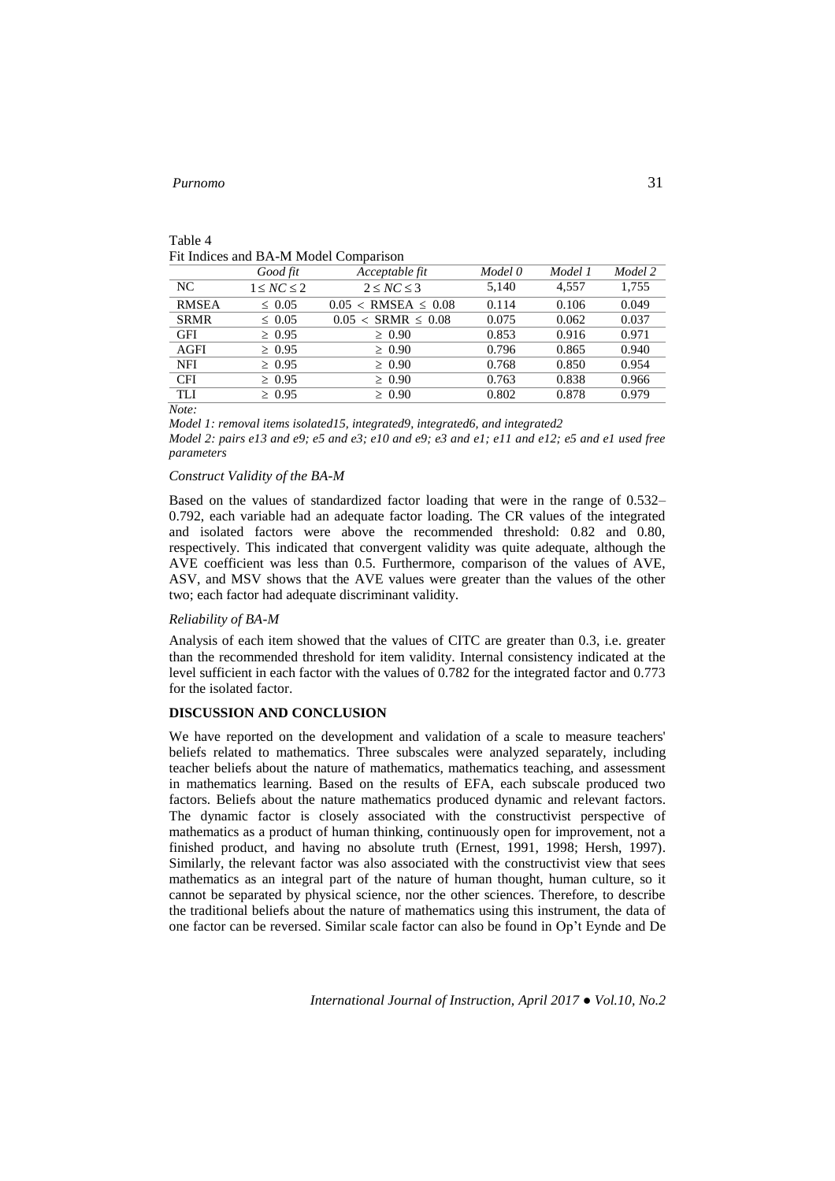## Table 4 Fit Indices and BA-M Model Comparison

|              | Good fit           | Acceptable fit             | Model 0 | Model 1 | Model 2 |
|--------------|--------------------|----------------------------|---------|---------|---------|
| NC.          | $1 \leq NC \leq 2$ | $2 \leq NC \leq 3$         | 5.140   | 4.557   | 1,755   |
| <b>RMSEA</b> | $\leq 0.05$        | $0.05 <$ RMSEA $\leq 0.08$ | 0.114   | 0.106   | 0.049   |
| <b>SRMR</b>  | $\leq 0.05$        | $0.05 <$ SRMR $\leq 0.08$  | 0.075   | 0.062   | 0.037   |
| <b>GFI</b>   | $\geq 0.95$        | $\geq 0.90$                | 0.853   | 0.916   | 0.971   |
| AGFI         | $\geq 0.95$        | $\geq 0.90$                | 0.796   | 0.865   | 0.940   |
| <b>NFI</b>   | $\geq 0.95$        | $\geq 0.90$                | 0.768   | 0.850   | 0.954   |
| <b>CFI</b>   | $\geq 0.95$        | $\geq 0.90$                | 0.763   | 0.838   | 0.966   |
| TLI          | $\geq 0.95$        | $\geq 0.90$                | 0.802   | 0.878   | 0.979   |
|              |                    |                            |         |         |         |

*Note:*

*Model 1: removal items isolated15, integrated9, integrated6, and integrated2 Model 2: pairs e13 and e9; e5 and e3; e10 and e9; e3 and e1; e11 and e12; e5 and e1 used free parameters*

### *Construct Validity of the BA-M*

Based on the values of standardized factor loading that were in the range of 0.532– 0.792, each variable had an adequate factor loading. The CR values of the integrated and isolated factors were above the recommended threshold: 0.82 and 0.80, respectively. This indicated that convergent validity was quite adequate, although the AVE coefficient was less than 0.5. Furthermore, comparison of the values of AVE, ASV, and MSV shows that the AVE values were greater than the values of the other two; each factor had adequate discriminant validity.

#### *Reliability of BA-M*

Analysis of each item showed that the values of CITC are greater than 0.3, i.e. greater than the recommended threshold for item validity. Internal consistency indicated at the level sufficient in each factor with the values of 0.782 for the integrated factor and 0.773 for the isolated factor.

## **DISCUSSION AND CONCLUSION**

We have reported on the development and validation of a scale to measure teachers' beliefs related to mathematics. Three subscales were analyzed separately, including teacher beliefs about the nature of mathematics, mathematics teaching, and assessment in mathematics learning. Based on the results of EFA, each subscale produced two factors. Beliefs about the nature mathematics produced dynamic and relevant factors. The dynamic factor is closely associated with the constructivist perspective of mathematics as a product of human thinking, continuously open for improvement, not a finished product, and having no absolute truth (Ernest, 1991, 1998; Hersh, 1997). Similarly, the relevant factor was also associated with the constructivist view that sees mathematics as an integral part of the nature of human thought, human culture, so it cannot be separated by physical science, nor the other sciences. Therefore, to describe the traditional beliefs about the nature of mathematics using this instrument, the data of one factor can be reversed. Similar scale factor can also be found in Op't Eynde and De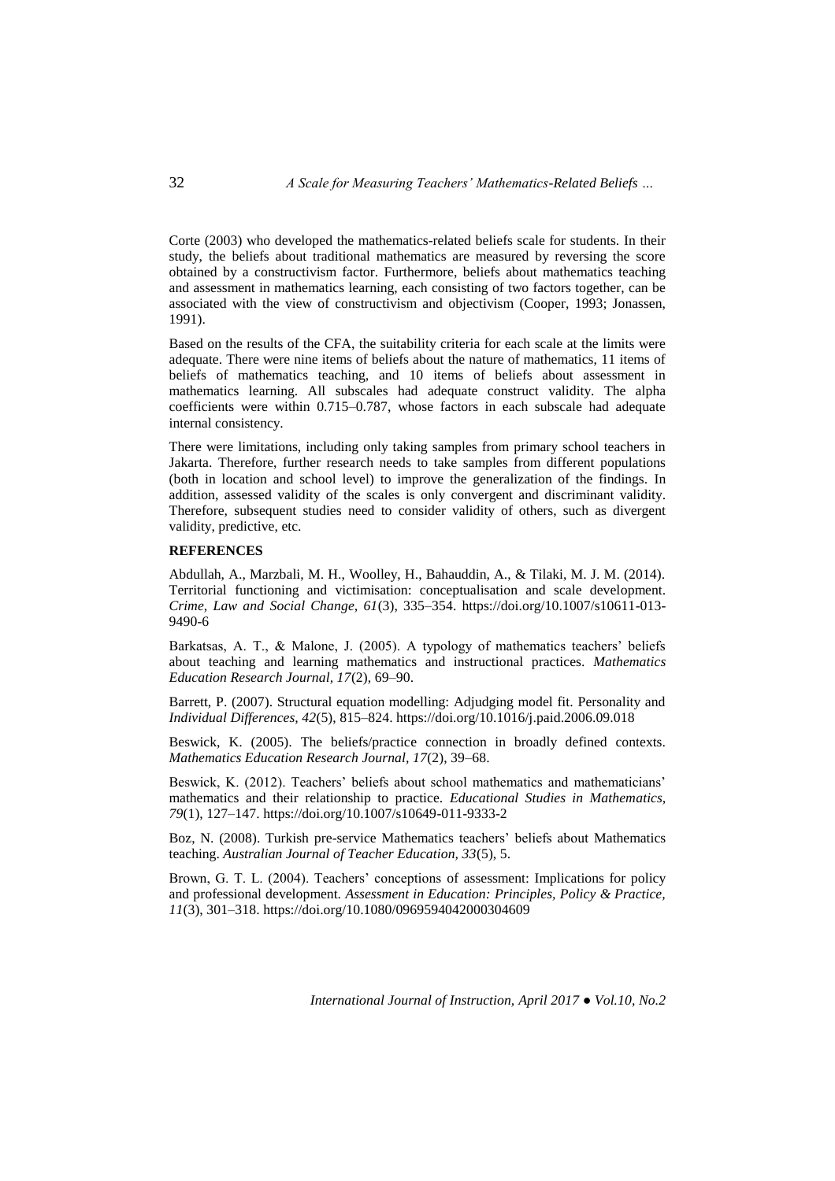Corte (2003) who developed the mathematics-related beliefs scale for students. In their study, the beliefs about traditional mathematics are measured by reversing the score obtained by a constructivism factor. Furthermore, beliefs about mathematics teaching and assessment in mathematics learning, each consisting of two factors together, can be associated with the view of constructivism and objectivism (Cooper, 1993; Jonassen, 1991).

Based on the results of the CFA, the suitability criteria for each scale at the limits were adequate. There were nine items of beliefs about the nature of mathematics, 11 items of beliefs of mathematics teaching, and 10 items of beliefs about assessment in mathematics learning. All subscales had adequate construct validity. The alpha coefficients were within 0.715–0.787, whose factors in each subscale had adequate internal consistency.

There were limitations, including only taking samples from primary school teachers in Jakarta. Therefore, further research needs to take samples from different populations (both in location and school level) to improve the generalization of the findings. In addition, assessed validity of the scales is only convergent and discriminant validity. Therefore, subsequent studies need to consider validity of others, such as divergent validity, predictive, etc.

## **REFERENCES**

Abdullah, A., Marzbali, M. H., Woolley, H., Bahauddin, A., & Tilaki, M. J. M. (2014). Territorial functioning and victimisation: conceptualisation and scale development. *Crime, Law and Social Change, 61*(3), 335–354. https://doi.org/10.1007/s10611-013- 9490-6

Barkatsas, A. T., & Malone, J. (2005). A typology of mathematics teachers' beliefs about teaching and learning mathematics and instructional practices. *Mathematics Education Research Journal, 17*(2), 69–90.

Barrett, P. (2007). Structural equation modelling: Adjudging model fit. Personality and *Individual Differences, 42*(5), 815–824. https://doi.org/10.1016/j.paid.2006.09.018

Beswick, K. (2005). The beliefs/practice connection in broadly defined contexts. *Mathematics Education Research Journal, 17*(2), 39–68.

Beswick, K. (2012). Teachers' beliefs about school mathematics and mathematicians' mathematics and their relationship to practice. *Educational Studies in Mathematics, 79*(1), 127–147. https://doi.org/10.1007/s10649-011-9333-2

Boz, N. (2008). Turkish pre-service Mathematics teachers' beliefs about Mathematics teaching. *Australian Journal of Teacher Education, 33*(5), 5.

Brown, G. T. L. (2004). Teachers' conceptions of assessment: Implications for policy and professional development. *Assessment in Education: Principles, Policy & Practice, 11*(3), 301–318. https://doi.org/10.1080/0969594042000304609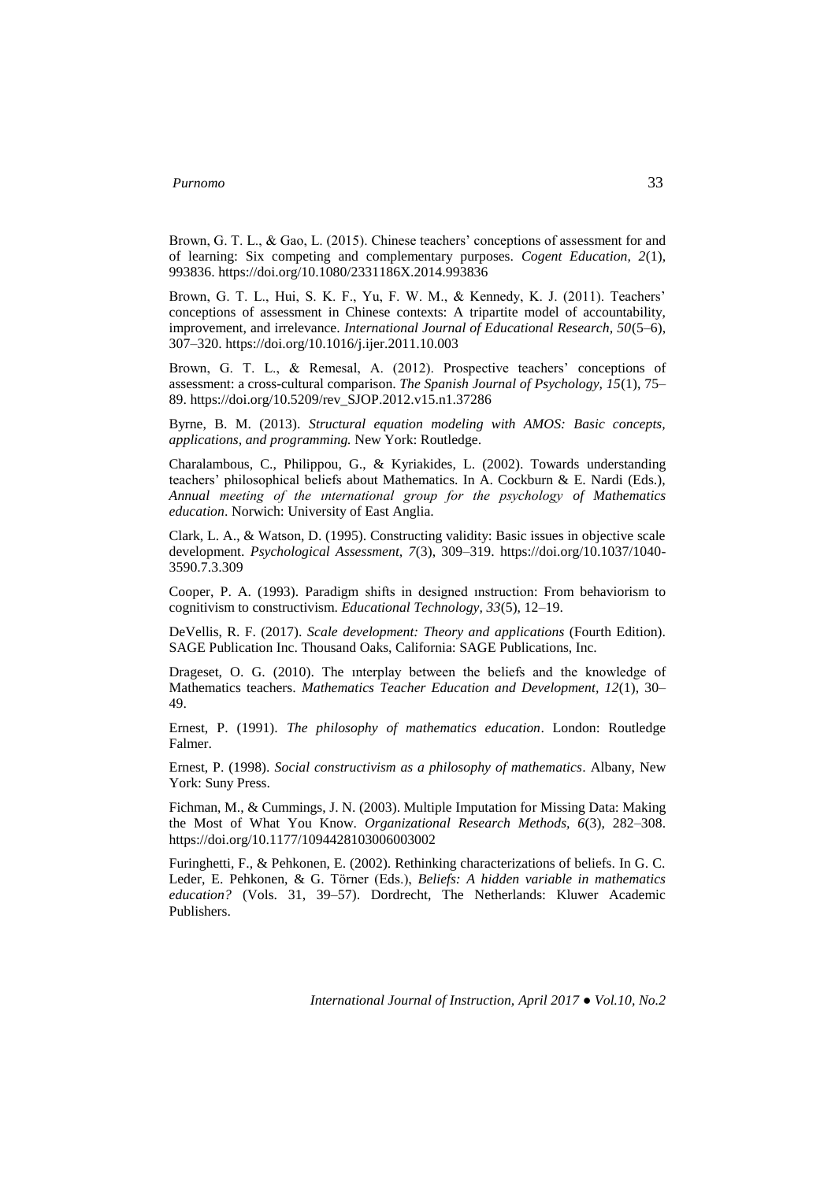Brown, G. T. L., & Gao, L. (2015). Chinese teachers' conceptions of assessment for and of learning: Six competing and complementary purposes. *Cogent Education, 2*(1), 993836. https://doi.org/10.1080/2331186X.2014.993836

Brown, G. T. L., Hui, S. K. F., Yu, F. W. M., & Kennedy, K. J. (2011). Teachers' conceptions of assessment in Chinese contexts: A tripartite model of accountability, improvement, and irrelevance. *International Journal of Educational Research, 50*(5–6), 307–320. https://doi.org/10.1016/j.ijer.2011.10.003

Brown, G. T. L., & Remesal, A. (2012). Prospective teachers' conceptions of assessment: a cross-cultural comparison. *The Spanish Journal of Psychology, 15*(1), 75– 89. https://doi.org/10.5209/rev\_SJOP.2012.v15.n1.37286

Byrne, B. M. (2013). *Structural equation modeling with AMOS: Basic concepts, applications, and programming.* New York: Routledge.

Charalambous, C., Philippou, G., & Kyriakides, L. (2002). Towards understanding teachers' philosophical beliefs about Mathematics. In A. Cockburn & E. Nardi (Eds.), *Annual meeting of the ınternational group for the psychology of Mathematics education*. Norwich: University of East Anglia.

Clark, L. A., & Watson, D. (1995). Constructing validity: Basic issues in objective scale development. *Psychological Assessment, 7*(3), 309–319. https://doi.org/10.1037/1040- 3590.7.3.309

Cooper, P. A. (1993). Paradigm shifts in designed ınstruction: From behaviorism to cognitivism to constructivism. *Educational Technology, 33*(5), 12–19.

DeVellis, R. F. (2017). *Scale development: Theory and applications* (Fourth Edition). SAGE Publication Inc. Thousand Oaks, California: SAGE Publications, Inc.

Drageset, O. G. (2010). The ınterplay between the beliefs and the knowledge of Mathematics teachers. *Mathematics Teacher Education and Development, 12*(1), 30– 49.

Ernest, P. (1991). *The philosophy of mathematics education*. London: Routledge Falmer.

Ernest, P. (1998). *Social constructivism as a philosophy of mathematics*. Albany, New York: Suny Press.

Fichman, M., & Cummings, J. N. (2003). Multiple Imputation for Missing Data: Making the Most of What You Know. *Organizational Research Methods, 6*(3), 282–308. https://doi.org/10.1177/1094428103006003002

Furinghetti, F., & Pehkonen, E. (2002). Rethinking characterizations of beliefs. In G. C. Leder, E. Pehkonen, & G. Törner (Eds.), *Beliefs: A hidden variable in mathematics education?* (Vols. 31, 39–57). Dordrecht, The Netherlands: Kluwer Academic Publishers.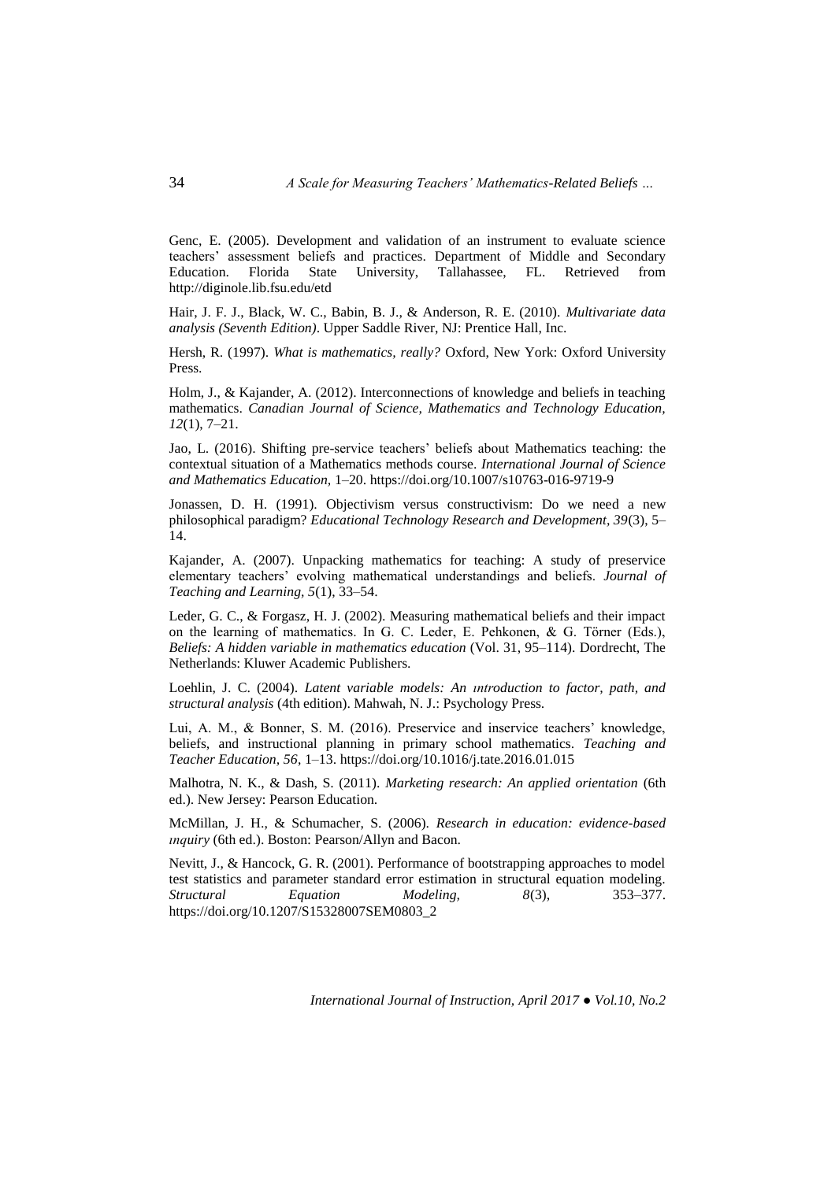Genc, E. (2005). Development and validation of an instrument to evaluate science teachers' assessment beliefs and practices. Department of Middle and Secondary Education. Florida State University, Tallahassee, FL. Retrieved from Education. Florida State University, Tallahassee, FL. Retrieved from http://diginole.lib.fsu.edu/etd

Hair, J. F. J., Black, W. C., Babin, B. J., & Anderson, R. E. (2010). *Multivariate data analysis (Seventh Edition)*. Upper Saddle River, NJ: Prentice Hall, Inc.

Hersh, R. (1997). *What is mathematics, really?* Oxford, New York: Oxford University Press.

Holm, J., & Kajander, A. (2012). Interconnections of knowledge and beliefs in teaching mathematics. *Canadian Journal of Science, Mathematics and Technology Education, 12*(1), 7–21.

Jao, L. (2016). Shifting pre-service teachers' beliefs about Mathematics teaching: the contextual situation of a Mathematics methods course. *International Journal of Science and Mathematics Education,* 1–20. https://doi.org/10.1007/s10763-016-9719-9

Jonassen, D. H. (1991). Objectivism versus constructivism: Do we need a new philosophical paradigm? *Educational Technology Research and Development, 39*(3), 5– 14.

Kajander, A. (2007). Unpacking mathematics for teaching: A study of preservice elementary teachers' evolving mathematical understandings and beliefs. *Journal of Teaching and Learning, 5*(1), 33–54.

Leder, G. C., & Forgasz, H. J. (2002). Measuring mathematical beliefs and their impact on the learning of mathematics. In G. C. Leder, E. Pehkonen, & G. Törner (Eds.), *Beliefs: A hidden variable in mathematics education* (Vol. 31, 95–114). Dordrecht, The Netherlands: Kluwer Academic Publishers.

Loehlin, J. C. (2004). *Latent variable models: An ıntroduction to factor, path, and structural analysis* (4th edition). Mahwah, N. J.: Psychology Press.

Lui, A. M., & Bonner, S. M. (2016). Preservice and inservice teachers' knowledge, beliefs, and instructional planning in primary school mathematics. *Teaching and Teacher Education, 56*, 1–13. https://doi.org/10.1016/j.tate.2016.01.015

Malhotra, N. K., & Dash, S. (2011). *Marketing research: An applied orientation* (6th ed.). New Jersey: Pearson Education.

McMillan, J. H., & Schumacher, S. (2006). *Research in education: evidence-based ınquiry* (6th ed.). Boston: Pearson/Allyn and Bacon.

Nevitt, J., & Hancock, G. R. (2001). Performance of bootstrapping approaches to model test statistics and parameter standard error estimation in structural equation modeling. *Structural Equation Modeling, 8*(3), 353–377. https://doi.org/10.1207/S15328007SEM0803\_2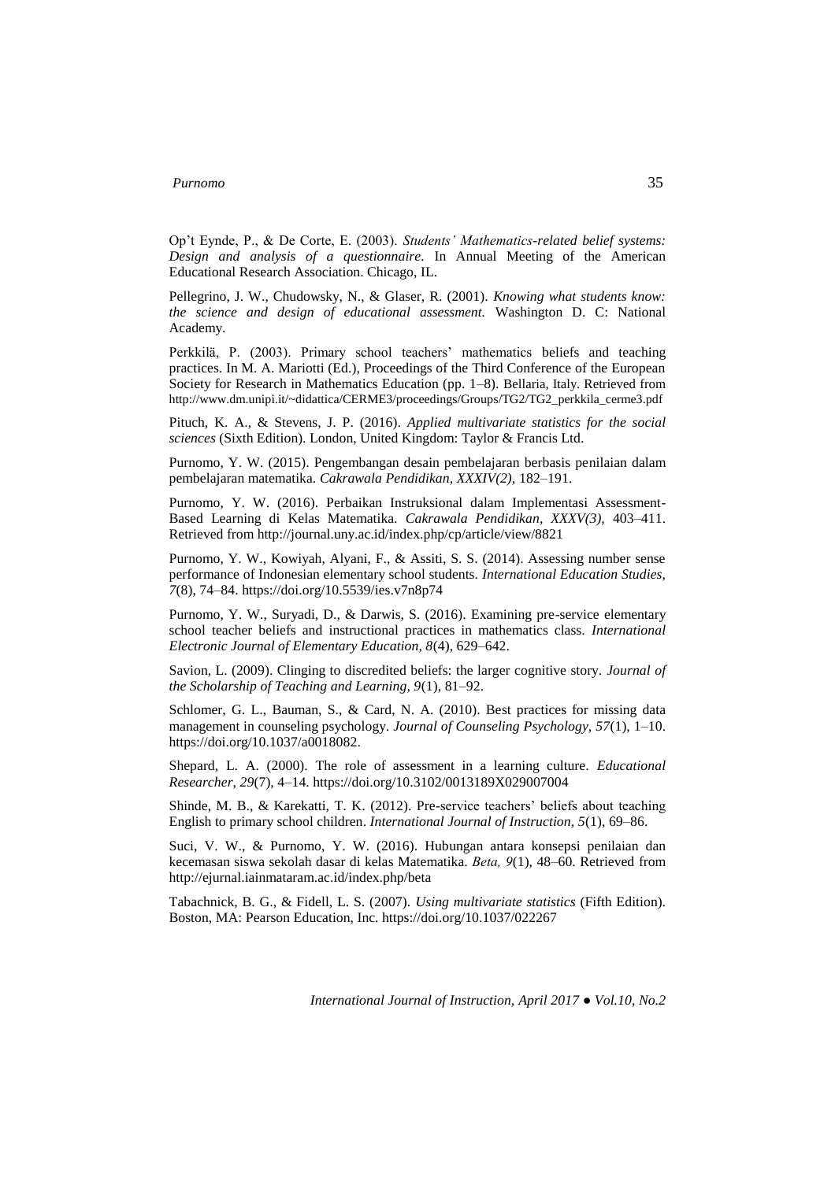Op't Eynde, P., & De Corte, E. (2003). *Students' Mathematics-related belief systems: Design and analysis of a questionnaire.* In Annual Meeting of the American Educational Research Association. Chicago, IL.

Pellegrino, J. W., Chudowsky, N., & Glaser, R. (2001). *Knowing what students know: the science and design of educational assessment.* Washington D. C: National Academy.

Perkkilä, P. (2003). Primary school teachers' mathematics beliefs and teaching practices. In M. A. Mariotti (Ed.), Proceedings of the Third Conference of the European Society for Research in Mathematics Education (pp. 1–8). Bellaria, Italy. Retrieved from http://www.dm.unipi.it/~didattica/CERME3/proceedings/Groups/TG2/TG2\_perkkila\_cerme3.pdf

Pituch, K. A., & Stevens, J. P. (2016). *Applied multivariate statistics for the social sciences* (Sixth Edition). London, United Kingdom: Taylor & Francis Ltd.

Purnomo, Y. W. (2015). Pengembangan desain pembelajaran berbasis penilaian dalam pembelajaran matematika. *Cakrawala Pendidikan, XXXIV(2),* 182–191.

Purnomo, Y. W. (2016). Perbaikan Instruksional dalam Implementasi Assessment-Based Learning di Kelas Matematika. *Cakrawala Pendidikan, XXXV(3),* 403–411. Retrieved from http://journal.uny.ac.id/index.php/cp/article/view/8821

Purnomo, Y. W., Kowiyah, Alyani, F., & Assiti, S. S. (2014). Assessing number sense performance of Indonesian elementary school students. *International Education Studies, 7*(8), 74–84. https://doi.org/10.5539/ies.v7n8p74

Purnomo, Y. W., Suryadi, D., & Darwis, S. (2016). Examining pre-service elementary school teacher beliefs and instructional practices in mathematics class. *International Electronic Journal of Elementary Education, 8*(4), 629–642.

Savion, L. (2009). Clinging to discredited beliefs: the larger cognitive story. *Journal of the Scholarship of Teaching and Learning, 9*(1), 81–92.

Schlomer, G. L., Bauman, S., & Card, N. A. (2010). Best practices for missing data management in counseling psychology. *Journal of Counseling Psychology, 57*(1), 1–10. https://doi.org/10.1037/a0018082.

Shepard, L. A. (2000). The role of assessment in a learning culture. *Educational Researcher, 29*(7), 4–14. https://doi.org/10.3102/0013189X029007004

Shinde, M. B., & Karekatti, T. K. (2012). Pre-service teachers' beliefs about teaching English to primary school children. *International Journal of Instruction, 5*(1), 69–86.

Suci, V. W., & Purnomo, Y. W. (2016). Hubungan antara konsepsi penilaian dan kecemasan siswa sekolah dasar di kelas Matematika. *Βeta, 9*(1), 48–60. Retrieved from http://ejurnal.iainmataram.ac.id/index.php/beta

Tabachnick, B. G., & Fidell, L. S. (2007). *Using multivariate statistics* (Fifth Edition). Boston, MA: Pearson Education, Inc. https://doi.org/10.1037/022267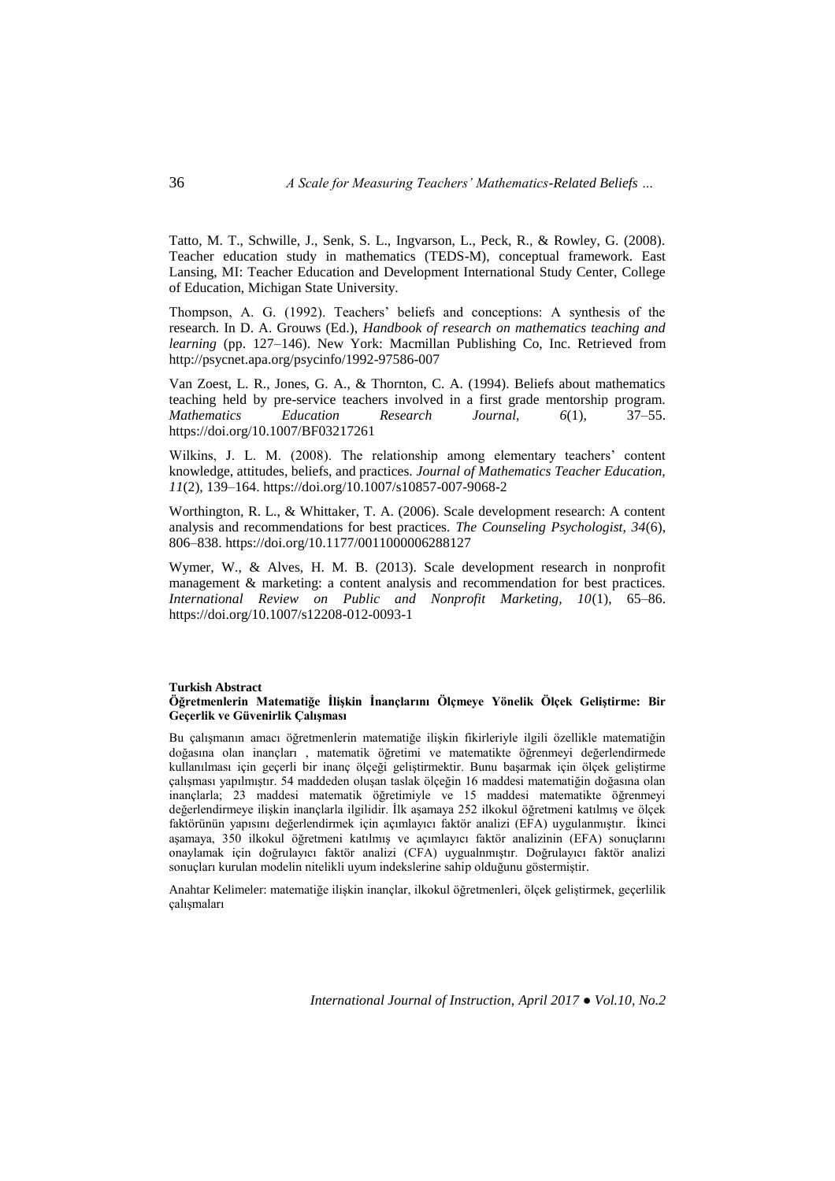Tatto, M. T., Schwille, J., Senk, S. L., Ingvarson, L., Peck, R., & Rowley, G. (2008). Teacher education study in mathematics (TEDS-M), conceptual framework. East Lansing, MI: Teacher Education and Development International Study Center, College of Education, Michigan State University.

Thompson, A. G. (1992). Teachers' beliefs and conceptions: A synthesis of the research. In D. A. Grouws (Ed.), *Handbook of research on mathematics teaching and learning* (pp. 127–146). New York: Macmillan Publishing Co, Inc. Retrieved from http://psycnet.apa.org/psycinfo/1992-97586-007

Van Zoest, L. R., Jones, G. A., & Thornton, C. A. (1994). Beliefs about mathematics teaching held by pre-service teachers involved in a first grade mentorship program. *Mathematics Education Research Journal, 6*(1), 37–55. https://doi.org/10.1007/BF03217261

Wilkins, J. L. M. (2008). The relationship among elementary teachers' content knowledge, attitudes, beliefs, and practices. *Journal of Mathematics Teacher Education, 11*(2), 139–164. https://doi.org/10.1007/s10857-007-9068-2

Worthington, R. L., & Whittaker, T. A. (2006). Scale development research: A content analysis and recommendations for best practices. *The Counseling Psychologist, 34*(6), 806–838. https://doi.org/10.1177/0011000006288127

Wymer, W., & Alves, H. M. B. (2013). Scale development research in nonprofit management & marketing: a content analysis and recommendation for best practices. *International Review on Public and Nonprofit Marketing, 10*(1), 65–86. https://doi.org/10.1007/s12208-012-0093-1

#### **Turkish Abstract**

### **Öğretmenlerin Matematiğe İlişkin İnançlarını Ölçmeye Yönelik Ölçek Geliştirme: Bir Geçerlik ve Güvenirlik Çalışması**

Bu çalışmanın amacı öğretmenlerin matematiğe ilişkin fikirleriyle ilgili özellikle matematiğin doğasına olan inançları , matematik öğretimi ve matematikte öğrenmeyi değerlendirmede kullanılması için geçerli bir inanç ölçeği geliştirmektir. Bunu başarmak için ölçek geliştirme çalışması yapılmıştır. 54 maddeden oluşan taslak ölçeğin 16 maddesi matematiğin doğasına olan inançlarla; 23 maddesi matematik öğretimiyle ve 15 maddesi matematikte öğrenmeyi değerlendirmeye ilişkin inançlarla ilgilidir. İlk aşamaya 252 ilkokul öğretmeni katılmış ve ölçek faktörünün yapısını değerlendirmek için açımlayıcı faktör analizi (EFA) uygulanmıştır. İkinci aşamaya, 350 ilkokul öğretmeni katılmış ve açımlayıcı faktör analizinin (EFA) sonuçlarını onaylamak için doğrulayıcı faktör analizi (CFA) uygualnmıştır. Doğrulayıcı faktör analizi sonuçları kurulan modelin nitelikli uyum indekslerine sahip olduğunu göstermiştir.

Anahtar Kelimeler: matematiğe ilişkin inançlar, ilkokul öğretmenleri, ölçek geliştirmek, geçerlilik çalışmaları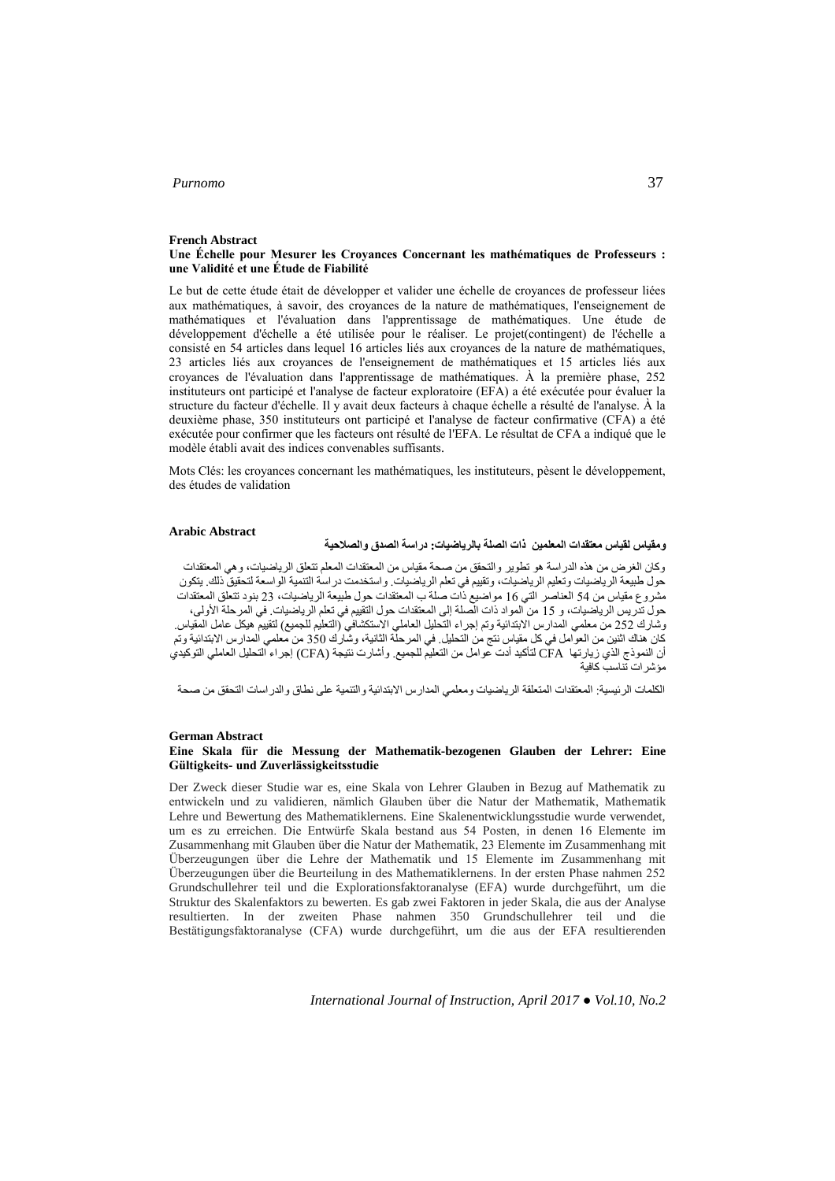### **French Abstract**

#### **Une Échelle pour Mesurer les Croyances Concernant les mathématiques de Professeurs : une Validité et une Étude de Fiabilité**

Le but de cette étude était de développer et valider une échelle de croyances de professeur liées aux mathématiques, à savoir, des croyances de la nature de mathématiques, l'enseignement de mathématiques et l'évaluation dans l'apprentissage de mathématiques. Une étude de développement d'échelle a été utilisée pour le réaliser. Le projet(contingent) de l'échelle a consisté en 54 articles dans lequel 16 articles liés aux croyances de la nature de mathématiques, 23 articles liés aux croyances de l'enseignement de mathématiques et 15 articles liés aux croyances de l'évaluation dans l'apprentissage de mathématiques. À la première phase, 252 instituteurs ont participé et l'analyse de facteur exploratoire (EFA) a été exécutée pour évaluer la structure du facteur d'échelle. Il y avait deux facteurs à chaque échelle a résulté de l'analyse. À la deuxième phase, 350 instituteurs ont participé et l'analyse de facteur confirmative (CFA) a été exécutée pour confirmer que les facteurs ont résulté de l'EFA. Le résultat de CFA a indiqué que le modèle établi avait des indices convenables suffisants.

Mots Clés: les croyances concernant les mathématiques, les instituteurs, pèsent le développement, des études de validation

#### **Arabic Abstract**

### **ومقياس لقياس معتقدات المعلمين ذات الصلة بالرياضيات: دراسة الصدق والصالحية**

وكان الغرض من هذه الدراسة هو تطوير والتحقق من صحة مقياس من المعتقدات المعلم تتعلق الرياضيات، وهي المعتقدات حول طبيعة الرياضيات وتعليم الرياضيات، وتقييم في تعلم الرياضيات. واستخدمت دراسة التنمية الواسعة لتحقيق ذلك. يتكون مشروع مقياس من 45 العناصر التي 61 مواضيع ذات صلة ب المعتقدات حول طبيعة الرياضيات، 32 بنود تتعلق المعتقدات حصر ع حيس من .<br>حول تدريس الرياضيات، و 15 من المواد ذات الصلة إلى المعتقدات حول التقييم في تعلم الرياضيات. في المرحلة الأولى، وشارك 252 من معلمي المدارس الابتدائية وتم إجراء التحليل العاملي الاستكشافي (التعليم للجميع) لتقييم هيكل عامل المقياس. كان هناك اثنين من العوامل في كل مقياس نتج من التحليل. في المرحلة الثانية، وشارك 243 من معلمي المدارس االبتدائية وتم أن النموذج الذي زيارتها CFA لتأكيد أدت عوامل من التعليم للجميع. وأشارت نتيجة (CFA (إجراء التحليل العاملي التوكيدي مؤشرات تناسب كافية

الكلمات الرئيسية: المعتقدات المتعلقة الرياضيات ومعلمي المدارس االبتدائية والتنمية على نطاق والدراسات التحقق من صحة

#### **German Abstract**

#### **Eine Skala für die Messung der Mathematik-bezogenen Glauben der Lehrer: Eine Gültigkeits- und Zuverlässigkeitsstudie**

Der Zweck dieser Studie war es, eine Skala von Lehrer Glauben in Bezug auf Mathematik zu entwickeln und zu validieren, nämlich Glauben über die Natur der Mathematik, Mathematik Lehre und Bewertung des Mathematiklernens. Eine Skalenentwicklungsstudie wurde verwendet, um es zu erreichen. Die Entwürfe Skala bestand aus 54 Posten, in denen 16 Elemente im Zusammenhang mit Glauben über die Natur der Mathematik, 23 Elemente im Zusammenhang mit Überzeugungen über die Lehre der Mathematik und 15 Elemente im Zusammenhang mit Überzeugungen über die Beurteilung in des Mathematiklernens. In der ersten Phase nahmen 252 Grundschullehrer teil und die Explorationsfaktoranalyse (EFA) wurde durchgeführt, um die Struktur des Skalenfaktors zu bewerten. Es gab zwei Faktoren in jeder Skala, die aus der Analyse resultierten. In der zweiten Phase nahmen 350 Grundschullehrer teil und die Bestätigungsfaktoranalyse (CFA) wurde durchgeführt, um die aus der EFA resultierenden